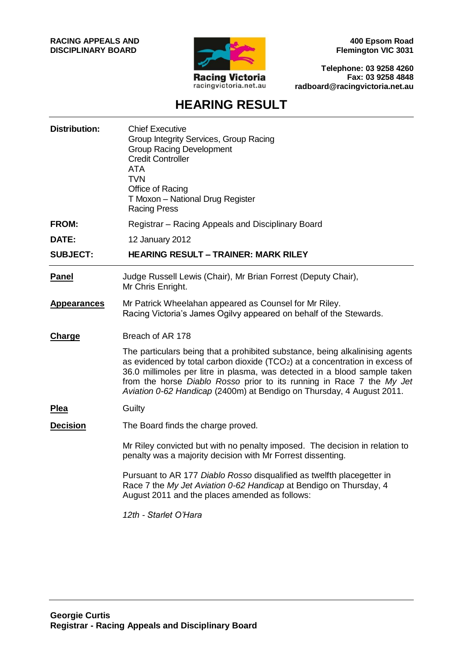

**400 Epsom Road Flemington VIC 3031**

**Telephone: 03 9258 4260 Fax: 03 9258 4848 radboard@racingvictoria.net.au**

## **HEARING RESULT**

| <b>Chief Executive</b><br>Group Integrity Services, Group Racing<br><b>Group Racing Development</b><br><b>Credit Controller</b><br><b>ATA</b><br><b>TVN</b><br>Office of Racing<br>T Moxon - National Drug Register<br><b>Racing Press</b>                                                                                                                                                 |
|--------------------------------------------------------------------------------------------------------------------------------------------------------------------------------------------------------------------------------------------------------------------------------------------------------------------------------------------------------------------------------------------|
| Registrar - Racing Appeals and Disciplinary Board                                                                                                                                                                                                                                                                                                                                          |
| 12 January 2012                                                                                                                                                                                                                                                                                                                                                                            |
| <b>HEARING RESULT - TRAINER: MARK RILEY</b>                                                                                                                                                                                                                                                                                                                                                |
| Judge Russell Lewis (Chair), Mr Brian Forrest (Deputy Chair),<br>Mr Chris Enright.                                                                                                                                                                                                                                                                                                         |
| Mr Patrick Wheelahan appeared as Counsel for Mr Riley.<br>Racing Victoria's James Ogilvy appeared on behalf of the Stewards.                                                                                                                                                                                                                                                               |
| Breach of AR 178                                                                                                                                                                                                                                                                                                                                                                           |
| The particulars being that a prohibited substance, being alkalinising agents<br>as evidenced by total carbon dioxide (TCO2) at a concentration in excess of<br>36.0 millimoles per litre in plasma, was detected in a blood sample taken<br>from the horse Diablo Rosso prior to its running in Race 7 the My Jet<br>Aviation 0-62 Handicap (2400m) at Bendigo on Thursday, 4 August 2011. |
| Guilty                                                                                                                                                                                                                                                                                                                                                                                     |
| The Board finds the charge proved.                                                                                                                                                                                                                                                                                                                                                         |
| Mr Riley convicted but with no penalty imposed. The decision in relation to<br>penalty was a majority decision with Mr Forrest dissenting.                                                                                                                                                                                                                                                 |
| Pursuant to AR 177 Diablo Rosso disqualified as twelfth placegetter in<br>Race 7 the My Jet Aviation 0-62 Handicap at Bendigo on Thursday, 4<br>August 2011 and the places amended as follows:                                                                                                                                                                                             |
| 12th - Starlet O'Hara                                                                                                                                                                                                                                                                                                                                                                      |
|                                                                                                                                                                                                                                                                                                                                                                                            |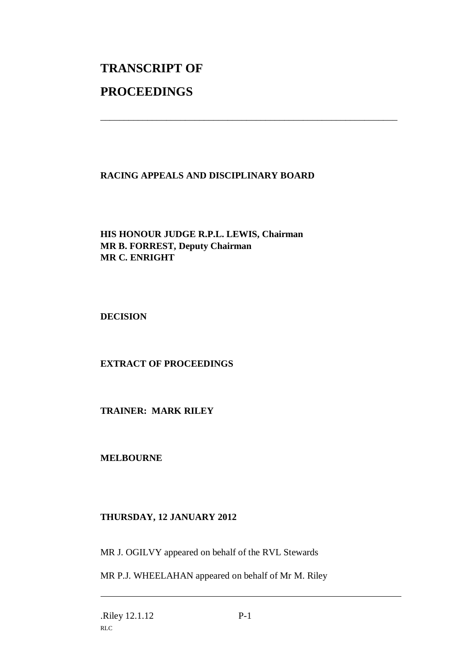# **TRANSCRIPT OF PROCEEDINGS**

#### **RACING APPEALS AND DISCIPLINARY BOARD**

\_\_\_\_\_\_\_\_\_\_\_\_\_\_\_\_\_\_\_\_\_\_\_\_\_\_\_\_\_\_\_\_\_\_\_\_\_\_\_\_\_\_\_\_\_\_\_\_\_\_\_\_\_\_\_\_\_\_\_\_\_\_\_

#### **HIS HONOUR JUDGE R.P.L. LEWIS, Chairman MR B. FORREST, Deputy Chairman MR C. ENRIGHT**

**DECISION**

### **EXTRACT OF PROCEEDINGS**

**TRAINER: MARK RILEY**

**MELBOURNE**

#### **THURSDAY, 12 JANUARY 2012**

MR J. OGILVY appeared on behalf of the RVL Stewards

MR P.J. WHEELAHAN appeared on behalf of Mr M. Riley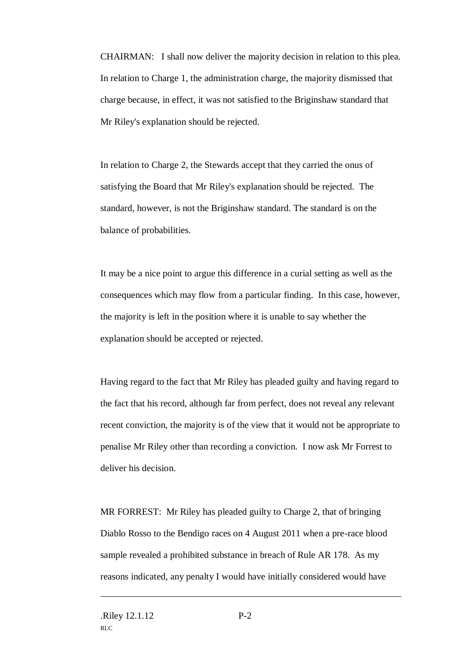CHAIRMAN: I shall now deliver the majority decision in relation to this plea. In relation to Charge 1, the administration charge, the majority dismissed that charge because, in effect, it was not satisfied to the Briginshaw standard that Mr Riley's explanation should be rejected.

In relation to Charge 2, the Stewards accept that they carried the onus of satisfying the Board that Mr Riley's explanation should be rejected. The standard, however, is not the Briginshaw standard. The standard is on the balance of probabilities.

It may be a nice point to argue this difference in a curial setting as well as the consequences which may flow from a particular finding. In this case, however, the majority is left in the position where it is unable to say whether the explanation should be accepted or rejected.

Having regard to the fact that Mr Riley has pleaded guilty and having regard to the fact that his record, although far from perfect, does not reveal any relevant recent conviction, the majority is of the view that it would not be appropriate to penalise Mr Riley other than recording a conviction. I now ask Mr Forrest to deliver his decision.

MR FORREST: Mr Riley has pleaded guilty to Charge 2, that of bringing Diablo Rosso to the Bendigo races on 4 August 2011 when a pre-race blood sample revealed a prohibited substance in breach of Rule AR 178. As my reasons indicated, any penalty I would have initially considered would have